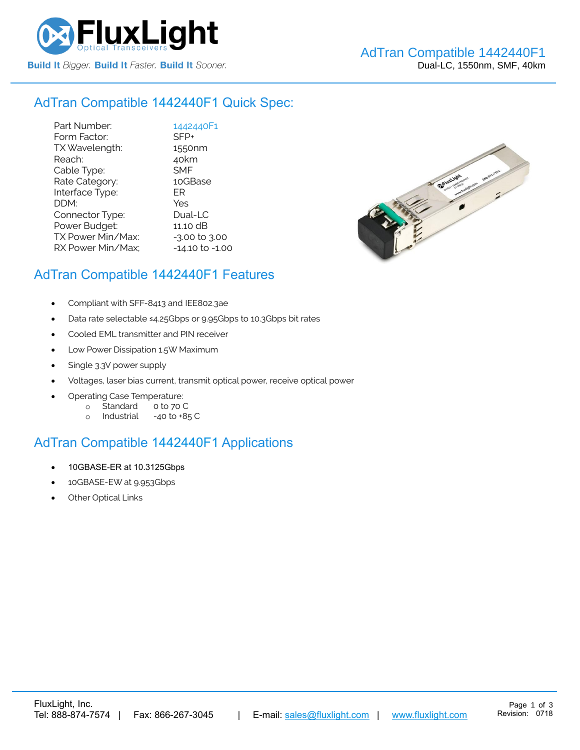

#### AdTran Compatible [1442440F1](https://www.fluxlight.com/1442440f1/) Quick Spec:

Part Number: [1442440F1](https://www.fluxlight.com/1442440f1/) Form Factor: SFP+ TX Wavelength: 1550nm Reach: 40km Cable Type: SMF Rate Category: 10GBase Interface Type: ER DDM: Yes Connector Type: Dual-LC Power Budget: 11.10 dB  $TX$  Power Min/Max:  $-3.00$  to  $3.00$ RX Power Min/Max; - 14.10 to -1.00



#### AdTran Compatible [1442440F1](https://www.fluxlight.com/1442440f1/) Features

- Compliant with SFF-8413 and IEE802.3ae
- Data rate selectable ≤4.25Gbps or 9.95Gbps to 10.3Gbps bit rates
- Cooled EML transmitter and PIN receiver
- Low Power Dissipation 1.5W Maximum
- Single 3.3V power supply
- Voltages, laser bias current, transmit optical power, receive optical power
- Operating Case Temperature:
	- o Standard 0 to 70 C
	- o Industrial -40 to +85 C

# AdTran Compatible [1442440F1](https://www.fluxlight.com/1442440f1/) Applications

- 10GBASE-ER at 10.3125Gbps
- 10GBASE-EW at 9.953Gbps
- **Other Optical Links**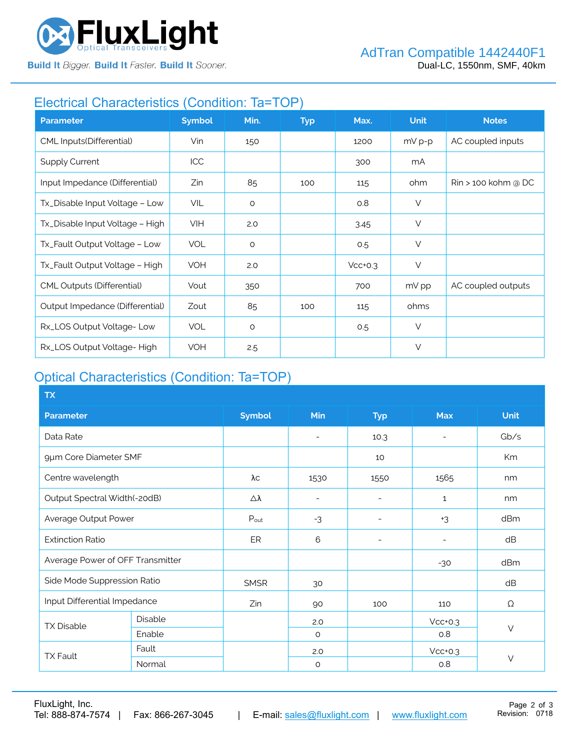

**Build It Bigger. Build It Faster. Build It Sooner.** 

# Electrical Characteristics (Condition: Ta=TOP)

| <b>Parameter</b>                  | <b>Symbol</b> | Min.    | <b>Typ</b> | Max.      | <b>Unit</b> | <b>Notes</b>                    |
|-----------------------------------|---------------|---------|------------|-----------|-------------|---------------------------------|
| CML Inputs(Differential)          | Vin           | 150     |            | 1200      | $mV p-p$    | AC coupled inputs               |
| <b>Supply Current</b>             | <b>ICC</b>    |         |            | 300       | mA          |                                 |
| Input Impedance (Differential)    | Zin           | 85      | 100        | 115       | ohm         | $\mathsf{R}$ in > 100 kohm @ DC |
| Tx_Disable Input Voltage - Low    | VIL           | $\circ$ |            | 0.8       | $\vee$      |                                 |
| Tx_Disable Input Voltage - High   | <b>VIH</b>    | 2.0     |            | 3.45      | $\vee$      |                                 |
| Tx_Fault Output Voltage - Low     | <b>VOL</b>    | $\circ$ |            | 0.5       | $\vee$      |                                 |
| Tx_Fault Output Voltage - High    | <b>VOH</b>    | 2.0     |            | $Vcc+0.3$ | $\vee$      |                                 |
| <b>CML Outputs (Differential)</b> | Vout          | 350     |            | 700       | mV pp       | AC coupled outputs              |
| Output Impedance (Differential)   | Zout          | 85      | 100        | 115       | ohms        |                                 |
| Rx_LOS Output Voltage-Low         | <b>VOL</b>    | $\circ$ |            | 0.5       | $\vee$      |                                 |
| Rx_LOS Output Voltage-High        | <b>VOH</b>    | 2.5     |            |           | $\vee$      |                                 |

### Optical Characteristics (Condition: Ta=TOP)

| <b>TX</b>                        |         |                  |                          |                          |                          |             |
|----------------------------------|---------|------------------|--------------------------|--------------------------|--------------------------|-------------|
| <b>Parameter</b>                 |         | <b>Symbol</b>    | Min                      | <b>Typ</b>               | <b>Max</b>               | <b>Unit</b> |
| Data Rate                        |         |                  | $\overline{\phantom{a}}$ | 10.3                     | $\overline{\phantom{0}}$ | Gb/s        |
| 9µm Core Diameter SMF            |         |                  |                          | 10                       |                          | Km          |
| Centre wavelength                |         | λс               | 1530                     | 1550                     | 1565                     | nm          |
| Output Spectral Width(-20dB)     |         | Δλ               | $\overline{\phantom{a}}$ | $\qquad \qquad$          | $\mathbf{1}$             | nm          |
| Average Output Power             |         | $P_{\text{out}}$ | $-3$                     | $\overline{\phantom{a}}$ | $+3$                     | dBm         |
| <b>Extinction Ratio</b>          |         | ER               | 6                        | $\overline{\phantom{a}}$ | $\overline{\phantom{0}}$ | dB          |
| Average Power of OFF Transmitter |         |                  |                          |                          | $-30$                    | dBm         |
| Side Mode Suppression Ratio      |         | <b>SMSR</b>      | 30                       |                          |                          | dB          |
| Input Differential Impedance     |         | Zin              | 90                       | 100                      | 110                      | Ω           |
| <b>TX Disable</b>                | Disable |                  | 2.0                      |                          | $Vcc+0.3$                |             |
|                                  | Enable  |                  | $\circ$                  |                          | 0.8                      | $\vee$      |
| <b>TX Fault</b>                  | Fault   |                  | 2.0                      |                          | $Vcc+0.3$                |             |
|                                  | Normal  |                  | $\circ$                  |                          | 0.8                      | $\vee$      |